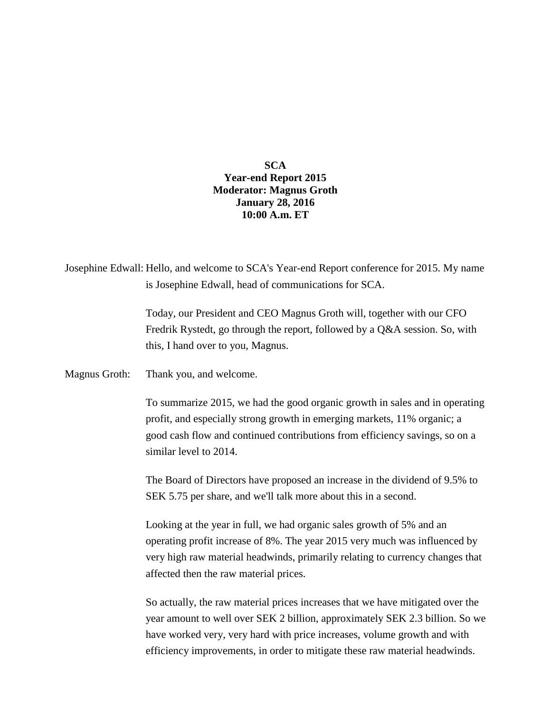## **SCA Year-end Report 2015 Moderator: Magnus Groth January 28, 2016 10:00 A.m. ET**

| Josephine Edwall: Hello, and welcome to SCA's Year-end Report conference for 2015. My name |
|--------------------------------------------------------------------------------------------|
| is Josephine Edwall, head of communications for SCA.                                       |
|                                                                                            |

Today, our President and CEO Magnus Groth will, together with our CFO Fredrik Rystedt, go through the report, followed by a Q&A session. So, with this, I hand over to you, Magnus.

Magnus Groth: Thank you, and welcome.

To summarize 2015, we had the good organic growth in sales and in operating profit, and especially strong growth in emerging markets, 11% organic; a good cash flow and continued contributions from efficiency savings, so on a similar level to 2014.

The Board of Directors have proposed an increase in the dividend of 9.5% to SEK 5.75 per share, and we'll talk more about this in a second.

Looking at the year in full, we had organic sales growth of 5% and an operating profit increase of 8%. The year 2015 very much was influenced by very high raw material headwinds, primarily relating to currency changes that affected then the raw material prices.

So actually, the raw material prices increases that we have mitigated over the year amount to well over SEK 2 billion, approximately SEK 2.3 billion. So we have worked very, very hard with price increases, volume growth and with efficiency improvements, in order to mitigate these raw material headwinds.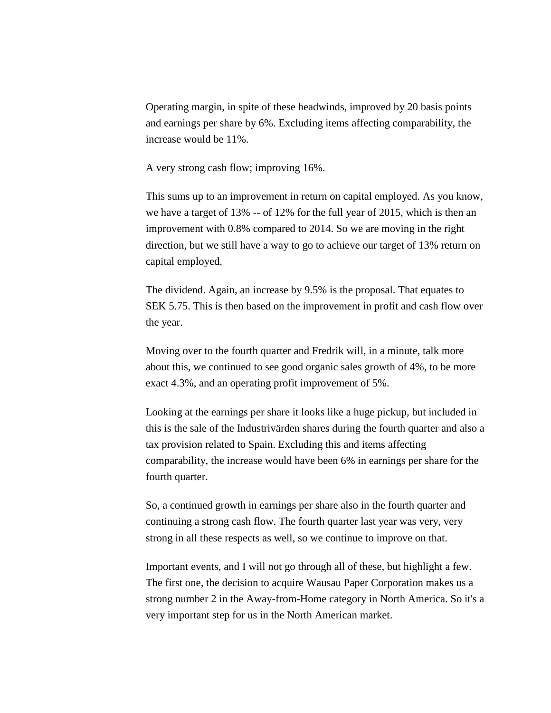Operating margin, in spite of these headwinds, improved by 20 basis points and earnings per share by 6%. Excluding items affecting comparability, the increase would be 11%.

A very strong cash flow; improving 16%.

This sums up to an improvement in return on capital employed. As you know, we have a target of 13% -- of 12% for the full year of 2015, which is then an improvement with 0.8% compared to 2014. So we are moving in the right direction, but we still have a way to go to achieve our target of 13% return on capital employed.

The dividend. Again, an increase by 9.5% is the proposal. That equates to SEK 5.75. This is then based on the improvement in profit and cash flow over the year.

Moving over to the fourth quarter and Fredrik will, in a minute, talk more about this, we continued to see good organic sales growth of 4%, to be more exact 4.3%, and an operating profit improvement of 5%.

Looking at the earnings per share it looks like a huge pickup, but included in this is the sale of the Industrivärden shares during the fourth quarter and also a tax provision related to Spain. Excluding this and items affecting comparability, the increase would have been 6% in earnings per share for the fourth quarter.

So, a continued growth in earnings per share also in the fourth quarter and continuing a strong cash flow. The fourth quarter last year was very, very strong in all these respects as well, so we continue to improve on that.

Important events, and I will not go through all of these, but highlight a few. The first one, the decision to acquire Wausau Paper Corporation makes us a strong number 2 in the Away-from-Home category in North America. So it's a very important step for us in the North American market.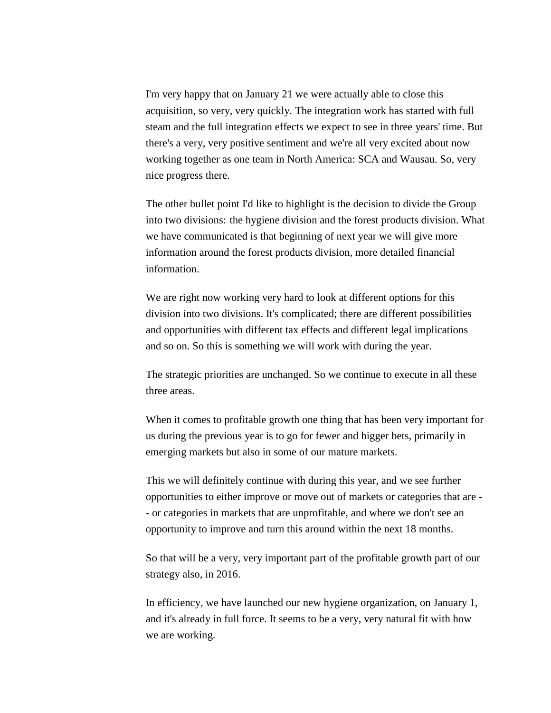I'm very happy that on January 21 we were actually able to close this acquisition, so very, very quickly. The integration work has started with full steam and the full integration effects we expect to see in three years' time. But there's a very, very positive sentiment and we're all very excited about now working together as one team in North America: SCA and Wausau. So, very nice progress there.

The other bullet point I'd like to highlight is the decision to divide the Group into two divisions: the hygiene division and the forest products division. What we have communicated is that beginning of next year we will give more information around the forest products division, more detailed financial information.

We are right now working very hard to look at different options for this division into two divisions. It's complicated; there are different possibilities and opportunities with different tax effects and different legal implications and so on. So this is something we will work with during the year.

The strategic priorities are unchanged. So we continue to execute in all these three areas.

When it comes to profitable growth one thing that has been very important for us during the previous year is to go for fewer and bigger bets, primarily in emerging markets but also in some of our mature markets.

This we will definitely continue with during this year, and we see further opportunities to either improve or move out of markets or categories that are - - or categories in markets that are unprofitable, and where we don't see an opportunity to improve and turn this around within the next 18 months.

So that will be a very, very important part of the profitable growth part of our strategy also, in 2016.

In efficiency, we have launched our new hygiene organization, on January 1, and it's already in full force. It seems to be a very, very natural fit with how we are working.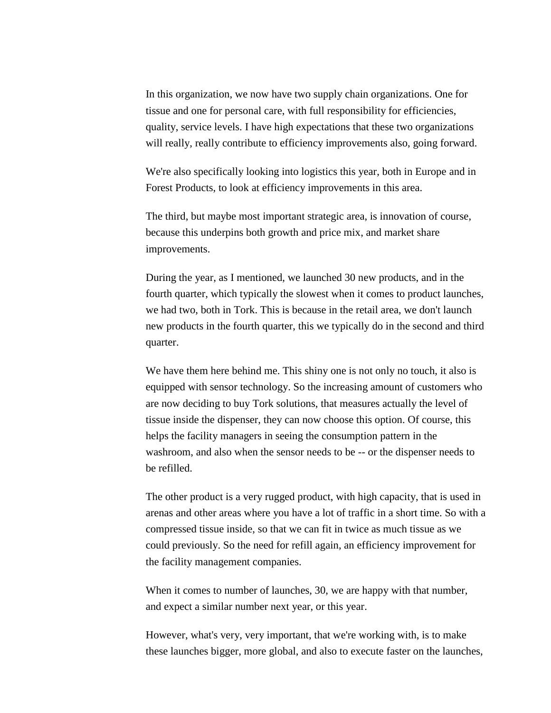In this organization, we now have two supply chain organizations. One for tissue and one for personal care, with full responsibility for efficiencies, quality, service levels. I have high expectations that these two organizations will really, really contribute to efficiency improvements also, going forward.

We're also specifically looking into logistics this year, both in Europe and in Forest Products, to look at efficiency improvements in this area.

The third, but maybe most important strategic area, is innovation of course, because this underpins both growth and price mix, and market share improvements.

During the year, as I mentioned, we launched 30 new products, and in the fourth quarter, which typically the slowest when it comes to product launches, we had two, both in Tork. This is because in the retail area, we don't launch new products in the fourth quarter, this we typically do in the second and third quarter.

We have them here behind me. This shiny one is not only no touch, it also is equipped with sensor technology. So the increasing amount of customers who are now deciding to buy Tork solutions, that measures actually the level of tissue inside the dispenser, they can now choose this option. Of course, this helps the facility managers in seeing the consumption pattern in the washroom, and also when the sensor needs to be -- or the dispenser needs to be refilled.

The other product is a very rugged product, with high capacity, that is used in arenas and other areas where you have a lot of traffic in a short time. So with a compressed tissue inside, so that we can fit in twice as much tissue as we could previously. So the need for refill again, an efficiency improvement for the facility management companies.

When it comes to number of launches, 30, we are happy with that number, and expect a similar number next year, or this year.

However, what's very, very important, that we're working with, is to make these launches bigger, more global, and also to execute faster on the launches,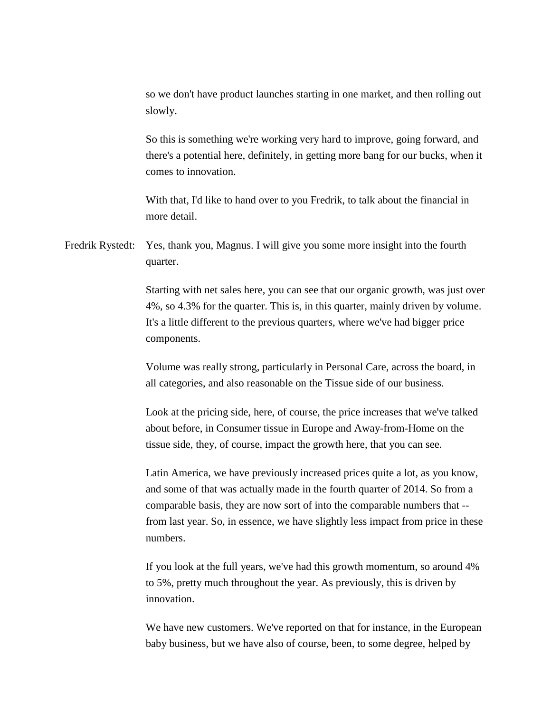so we don't have product launches starting in one market, and then rolling out slowly.

So this is something we're working very hard to improve, going forward, and there's a potential here, definitely, in getting more bang for our bucks, when it comes to innovation.

With that, I'd like to hand over to you Fredrik, to talk about the financial in more detail.

Fredrik Rystedt: Yes, thank you, Magnus. I will give you some more insight into the fourth quarter.

> Starting with net sales here, you can see that our organic growth, was just over 4%, so 4.3% for the quarter. This is, in this quarter, mainly driven by volume. It's a little different to the previous quarters, where we've had bigger price components.

Volume was really strong, particularly in Personal Care, across the board, in all categories, and also reasonable on the Tissue side of our business.

Look at the pricing side, here, of course, the price increases that we've talked about before, in Consumer tissue in Europe and Away-from-Home on the tissue side, they, of course, impact the growth here, that you can see.

Latin America, we have previously increased prices quite a lot, as you know, and some of that was actually made in the fourth quarter of 2014. So from a comparable basis, they are now sort of into the comparable numbers that - from last year. So, in essence, we have slightly less impact from price in these numbers.

If you look at the full years, we've had this growth momentum, so around 4% to 5%, pretty much throughout the year. As previously, this is driven by innovation.

We have new customers. We've reported on that for instance, in the European baby business, but we have also of course, been, to some degree, helped by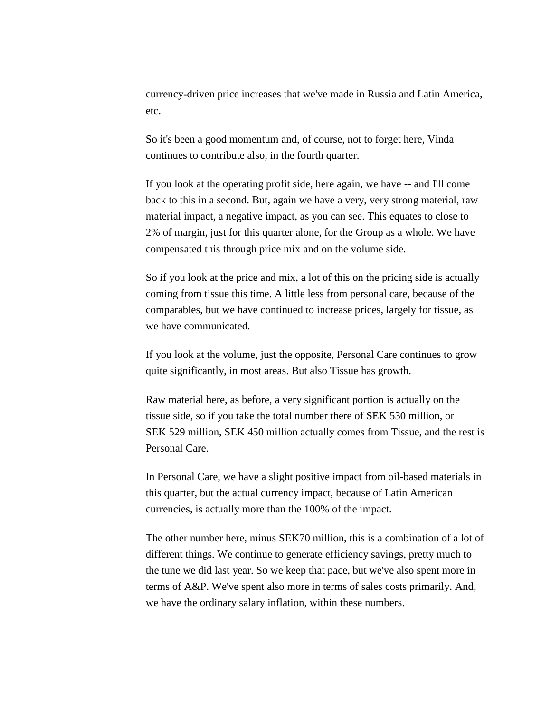currency-driven price increases that we've made in Russia and Latin America, etc.

So it's been a good momentum and, of course, not to forget here, Vinda continues to contribute also, in the fourth quarter.

If you look at the operating profit side, here again, we have -- and I'll come back to this in a second. But, again we have a very, very strong material, raw material impact, a negative impact, as you can see. This equates to close to 2% of margin, just for this quarter alone, for the Group as a whole. We have compensated this through price mix and on the volume side.

So if you look at the price and mix, a lot of this on the pricing side is actually coming from tissue this time. A little less from personal care, because of the comparables, but we have continued to increase prices, largely for tissue, as we have communicated.

If you look at the volume, just the opposite, Personal Care continues to grow quite significantly, in most areas. But also Tissue has growth.

Raw material here, as before, a very significant portion is actually on the tissue side, so if you take the total number there of SEK 530 million, or SEK 529 million, SEK 450 million actually comes from Tissue, and the rest is Personal Care.

In Personal Care, we have a slight positive impact from oil-based materials in this quarter, but the actual currency impact, because of Latin American currencies, is actually more than the 100% of the impact.

The other number here, minus SEK70 million, this is a combination of a lot of different things. We continue to generate efficiency savings, pretty much to the tune we did last year. So we keep that pace, but we've also spent more in terms of A&P. We've spent also more in terms of sales costs primarily. And, we have the ordinary salary inflation, within these numbers.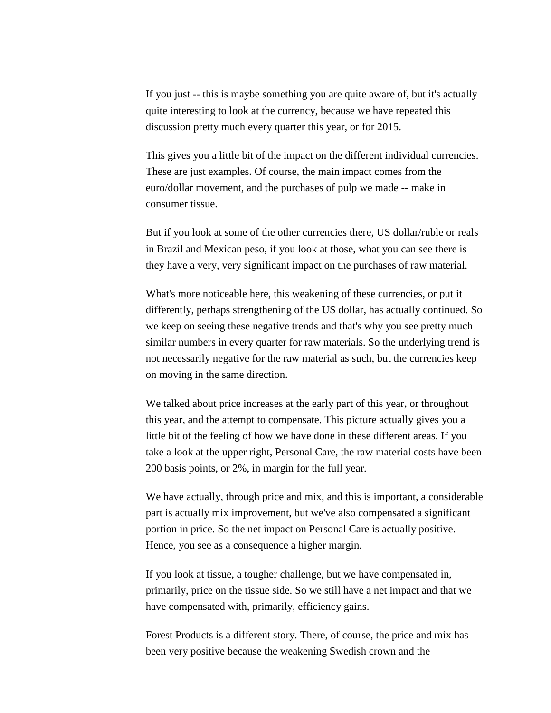If you just -- this is maybe something you are quite aware of, but it's actually quite interesting to look at the currency, because we have repeated this discussion pretty much every quarter this year, or for 2015.

This gives you a little bit of the impact on the different individual currencies. These are just examples. Of course, the main impact comes from the euro/dollar movement, and the purchases of pulp we made -- make in consumer tissue.

But if you look at some of the other currencies there, US dollar/ruble or reals in Brazil and Mexican peso, if you look at those, what you can see there is they have a very, very significant impact on the purchases of raw material.

What's more noticeable here, this weakening of these currencies, or put it differently, perhaps strengthening of the US dollar, has actually continued. So we keep on seeing these negative trends and that's why you see pretty much similar numbers in every quarter for raw materials. So the underlying trend is not necessarily negative for the raw material as such, but the currencies keep on moving in the same direction.

We talked about price increases at the early part of this year, or throughout this year, and the attempt to compensate. This picture actually gives you a little bit of the feeling of how we have done in these different areas. If you take a look at the upper right, Personal Care, the raw material costs have been 200 basis points, or 2%, in margin for the full year.

We have actually, through price and mix, and this is important, a considerable part is actually mix improvement, but we've also compensated a significant portion in price. So the net impact on Personal Care is actually positive. Hence, you see as a consequence a higher margin.

If you look at tissue, a tougher challenge, but we have compensated in, primarily, price on the tissue side. So we still have a net impact and that we have compensated with, primarily, efficiency gains.

Forest Products is a different story. There, of course, the price and mix has been very positive because the weakening Swedish crown and the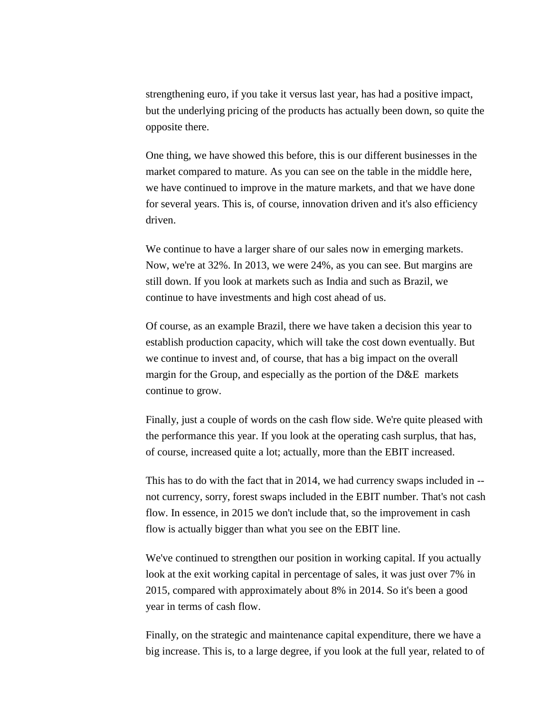strengthening euro, if you take it versus last year, has had a positive impact, but the underlying pricing of the products has actually been down, so quite the opposite there.

One thing, we have showed this before, this is our different businesses in the market compared to mature. As you can see on the table in the middle here, we have continued to improve in the mature markets, and that we have done for several years. This is, of course, innovation driven and it's also efficiency driven.

We continue to have a larger share of our sales now in emerging markets. Now, we're at 32%. In 2013, we were 24%, as you can see. But margins are still down. If you look at markets such as India and such as Brazil, we continue to have investments and high cost ahead of us.

Of course, as an example Brazil, there we have taken a decision this year to establish production capacity, which will take the cost down eventually. But we continue to invest and, of course, that has a big impact on the overall margin for the Group, and especially as the portion of the D&E markets continue to grow.

Finally, just a couple of words on the cash flow side. We're quite pleased with the performance this year. If you look at the operating cash surplus, that has, of course, increased quite a lot; actually, more than the EBIT increased.

This has to do with the fact that in 2014, we had currency swaps included in - not currency, sorry, forest swaps included in the EBIT number. That's not cash flow. In essence, in 2015 we don't include that, so the improvement in cash flow is actually bigger than what you see on the EBIT line.

We've continued to strengthen our position in working capital. If you actually look at the exit working capital in percentage of sales, it was just over 7% in 2015, compared with approximately about 8% in 2014. So it's been a good year in terms of cash flow.

Finally, on the strategic and maintenance capital expenditure, there we have a big increase. This is, to a large degree, if you look at the full year, related to of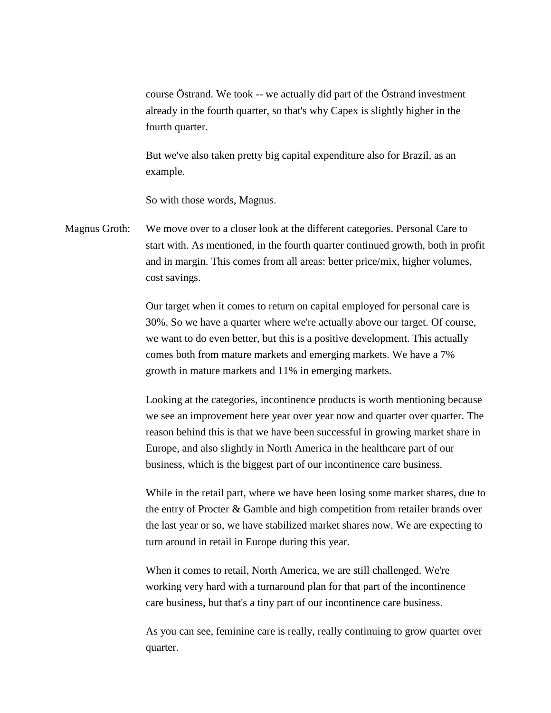course Östrand. We took -- we actually did part of the Östrand investment already in the fourth quarter, so that's why Capex is slightly higher in the fourth quarter.

But we've also taken pretty big capital expenditure also for Brazil, as an example.

So with those words, Magnus.

Magnus Groth: We move over to a closer look at the different categories. Personal Care to start with. As mentioned, in the fourth quarter continued growth, both in profit and in margin. This comes from all areas: better price/mix, higher volumes, cost savings.

> Our target when it comes to return on capital employed for personal care is 30%. So we have a quarter where we're actually above our target. Of course, we want to do even better, but this is a positive development. This actually comes both from mature markets and emerging markets. We have a 7% growth in mature markets and 11% in emerging markets.

Looking at the categories, incontinence products is worth mentioning because we see an improvement here year over year now and quarter over quarter. The reason behind this is that we have been successful in growing market share in Europe, and also slightly in North America in the healthcare part of our business, which is the biggest part of our incontinence care business.

While in the retail part, where we have been losing some market shares, due to the entry of Procter & Gamble and high competition from retailer brands over the last year or so, we have stabilized market shares now. We are expecting to turn around in retail in Europe during this year.

When it comes to retail, North America, we are still challenged. We're working very hard with a turnaround plan for that part of the incontinence care business, but that's a tiny part of our incontinence care business.

As you can see, feminine care is really, really continuing to grow quarter over quarter.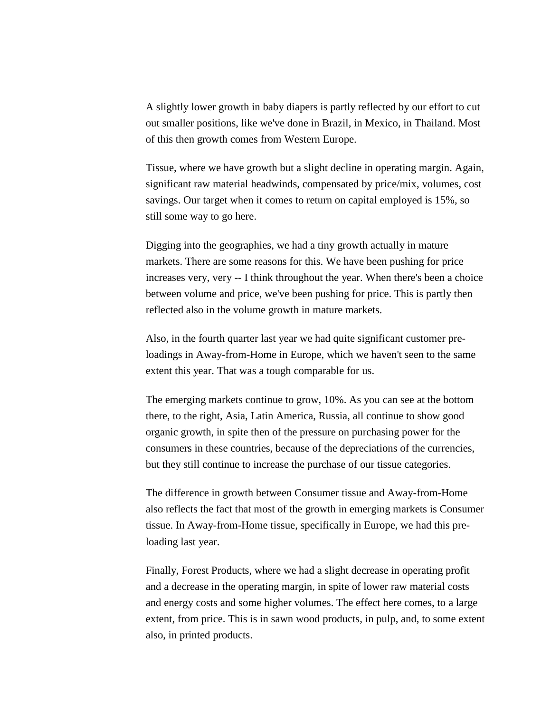A slightly lower growth in baby diapers is partly reflected by our effort to cut out smaller positions, like we've done in Brazil, in Mexico, in Thailand. Most of this then growth comes from Western Europe.

Tissue, where we have growth but a slight decline in operating margin. Again, significant raw material headwinds, compensated by price/mix, volumes, cost savings. Our target when it comes to return on capital employed is 15%, so still some way to go here.

Digging into the geographies, we had a tiny growth actually in mature markets. There are some reasons for this. We have been pushing for price increases very, very -- I think throughout the year. When there's been a choice between volume and price, we've been pushing for price. This is partly then reflected also in the volume growth in mature markets.

Also, in the fourth quarter last year we had quite significant customer preloadings in Away-from-Home in Europe, which we haven't seen to the same extent this year. That was a tough comparable for us.

The emerging markets continue to grow, 10%. As you can see at the bottom there, to the right, Asia, Latin America, Russia, all continue to show good organic growth, in spite then of the pressure on purchasing power for the consumers in these countries, because of the depreciations of the currencies, but they still continue to increase the purchase of our tissue categories.

The difference in growth between Consumer tissue and Away-from-Home also reflects the fact that most of the growth in emerging markets is Consumer tissue. In Away-from-Home tissue, specifically in Europe, we had this preloading last year.

Finally, Forest Products, where we had a slight decrease in operating profit and a decrease in the operating margin, in spite of lower raw material costs and energy costs and some higher volumes. The effect here comes, to a large extent, from price. This is in sawn wood products, in pulp, and, to some extent also, in printed products.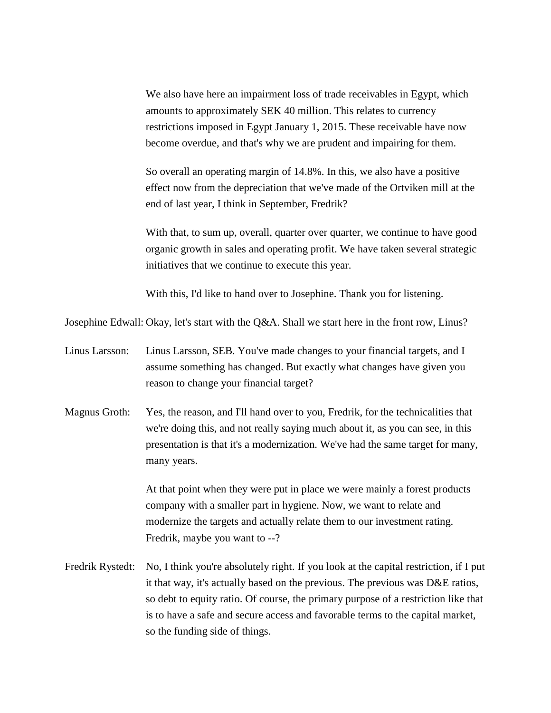We also have here an impairment loss of trade receivables in Egypt, which amounts to approximately SEK 40 million. This relates to currency restrictions imposed in Egypt January 1, 2015. These receivable have now become overdue, and that's why we are prudent and impairing for them.

So overall an operating margin of 14.8%. In this, we also have a positive effect now from the depreciation that we've made of the Ortviken mill at the end of last year, I think in September, Fredrik?

With that, to sum up, overall, quarter over quarter, we continue to have good organic growth in sales and operating profit. We have taken several strategic initiatives that we continue to execute this year.

With this, I'd like to hand over to Josephine. Thank you for listening.

Josephine Edwall: Okay, let's start with the Q&A. Shall we start here in the front row, Linus?

- Linus Larsson: Linus Larsson, SEB. You've made changes to your financial targets, and I assume something has changed. But exactly what changes have given you reason to change your financial target?
- Magnus Groth: Yes, the reason, and I'll hand over to you, Fredrik, for the technicalities that we're doing this, and not really saying much about it, as you can see, in this presentation is that it's a modernization. We've had the same target for many, many years.

At that point when they were put in place we were mainly a forest products company with a smaller part in hygiene. Now, we want to relate and modernize the targets and actually relate them to our investment rating. Fredrik, maybe you want to --?

Fredrik Rystedt: No, I think you're absolutely right. If you look at the capital restriction, if I put it that way, it's actually based on the previous. The previous was D&E ratios, so debt to equity ratio. Of course, the primary purpose of a restriction like that is to have a safe and secure access and favorable terms to the capital market, so the funding side of things.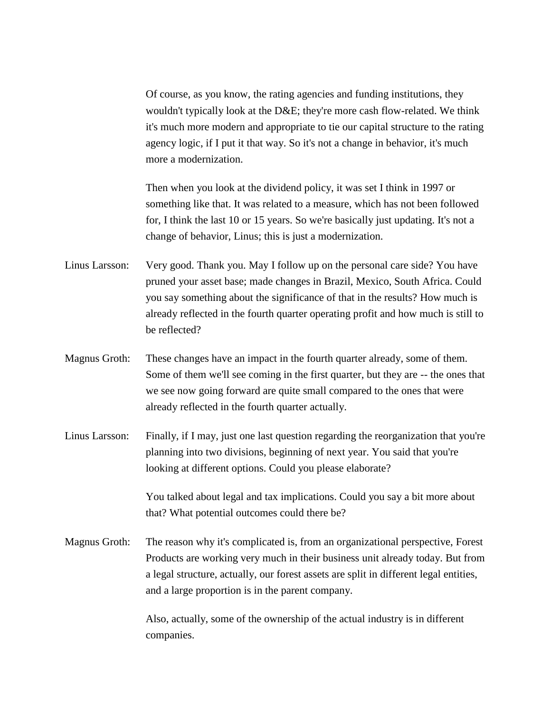Of course, as you know, the rating agencies and funding institutions, they wouldn't typically look at the D&E; they're more cash flow-related. We think it's much more modern and appropriate to tie our capital structure to the rating agency logic, if I put it that way. So it's not a change in behavior, it's much more a modernization.

Then when you look at the dividend policy, it was set I think in 1997 or something like that. It was related to a measure, which has not been followed for, I think the last 10 or 15 years. So we're basically just updating. It's not a change of behavior, Linus; this is just a modernization.

- Linus Larsson: Very good. Thank you. May I follow up on the personal care side? You have pruned your asset base; made changes in Brazil, Mexico, South Africa. Could you say something about the significance of that in the results? How much is already reflected in the fourth quarter operating profit and how much is still to be reflected?
- Magnus Groth: These changes have an impact in the fourth quarter already, some of them. Some of them we'll see coming in the first quarter, but they are -- the ones that we see now going forward are quite small compared to the ones that were already reflected in the fourth quarter actually.
- Linus Larsson: Finally, if I may, just one last question regarding the reorganization that you're planning into two divisions, beginning of next year. You said that you're looking at different options. Could you please elaborate?

You talked about legal and tax implications. Could you say a bit more about that? What potential outcomes could there be?

Magnus Groth: The reason why it's complicated is, from an organizational perspective, Forest Products are working very much in their business unit already today. But from a legal structure, actually, our forest assets are split in different legal entities, and a large proportion is in the parent company.

> Also, actually, some of the ownership of the actual industry is in different companies.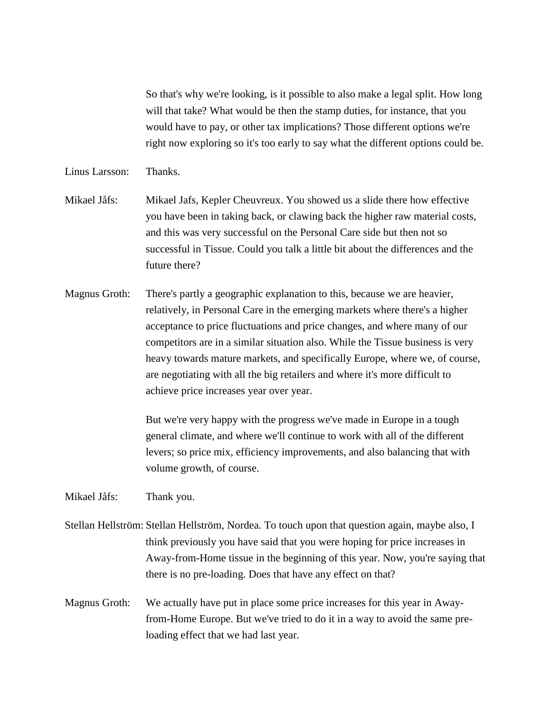So that's why we're looking, is it possible to also make a legal split. How long will that take? What would be then the stamp duties, for instance, that you would have to pay, or other tax implications? Those different options we're right now exploring so it's too early to say what the different options could be.

## Linus Larsson: Thanks.

- Mikael Jåfs: Mikael Jafs, Kepler Cheuvreux. You showed us a slide there how effective you have been in taking back, or clawing back the higher raw material costs, and this was very successful on the Personal Care side but then not so successful in Tissue. Could you talk a little bit about the differences and the future there?
- Magnus Groth: There's partly a geographic explanation to this, because we are heavier, relatively, in Personal Care in the emerging markets where there's a higher acceptance to price fluctuations and price changes, and where many of our competitors are in a similar situation also. While the Tissue business is very heavy towards mature markets, and specifically Europe, where we, of course, are negotiating with all the big retailers and where it's more difficult to achieve price increases year over year.

But we're very happy with the progress we've made in Europe in a tough general climate, and where we'll continue to work with all of the different levers; so price mix, efficiency improvements, and also balancing that with volume growth, of course.

## Mikael Jåfs: Thank you.

- Stellan Hellström: Stellan Hellström, Nordea. To touch upon that question again, maybe also, I think previously you have said that you were hoping for price increases in Away-from-Home tissue in the beginning of this year. Now, you're saying that there is no pre-loading. Does that have any effect on that?
- Magnus Groth: We actually have put in place some price increases for this year in Awayfrom-Home Europe. But we've tried to do it in a way to avoid the same preloading effect that we had last year.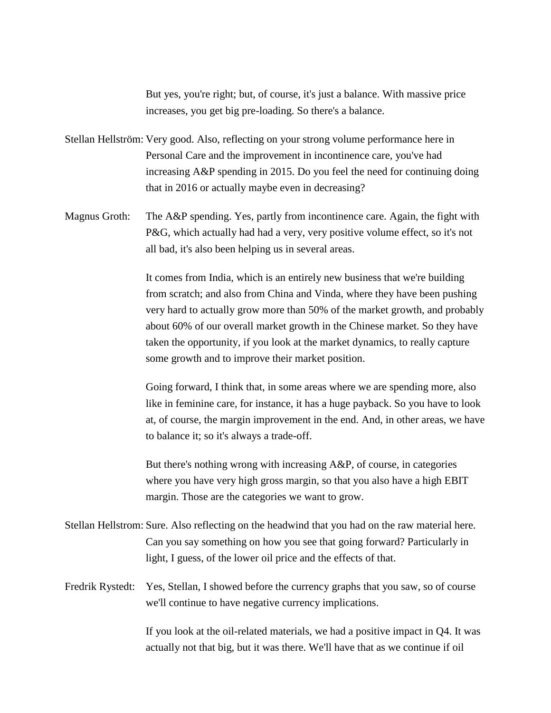But yes, you're right; but, of course, it's just a balance. With massive price increases, you get big pre-loading. So there's a balance.

- Stellan Hellström: Very good. Also, reflecting on your strong volume performance here in Personal Care and the improvement in incontinence care, you've had increasing A&P spending in 2015. Do you feel the need for continuing doing that in 2016 or actually maybe even in decreasing?
- Magnus Groth: The A&P spending. Yes, partly from incontinence care. Again, the fight with P&G, which actually had had a very, very positive volume effect, so it's not all bad, it's also been helping us in several areas.

It comes from India, which is an entirely new business that we're building from scratch; and also from China and Vinda, where they have been pushing very hard to actually grow more than 50% of the market growth, and probably about 60% of our overall market growth in the Chinese market. So they have taken the opportunity, if you look at the market dynamics, to really capture some growth and to improve their market position.

Going forward, I think that, in some areas where we are spending more, also like in feminine care, for instance, it has a huge payback. So you have to look at, of course, the margin improvement in the end. And, in other areas, we have to balance it; so it's always a trade-off.

But there's nothing wrong with increasing A&P, of course, in categories where you have very high gross margin, so that you also have a high EBIT margin. Those are the categories we want to grow.

- Stellan Hellstrom: Sure. Also reflecting on the headwind that you had on the raw material here. Can you say something on how you see that going forward? Particularly in light, I guess, of the lower oil price and the effects of that.
- Fredrik Rystedt: Yes, Stellan, I showed before the currency graphs that you saw, so of course we'll continue to have negative currency implications.

If you look at the oil-related materials, we had a positive impact in Q4. It was actually not that big, but it was there. We'll have that as we continue if oil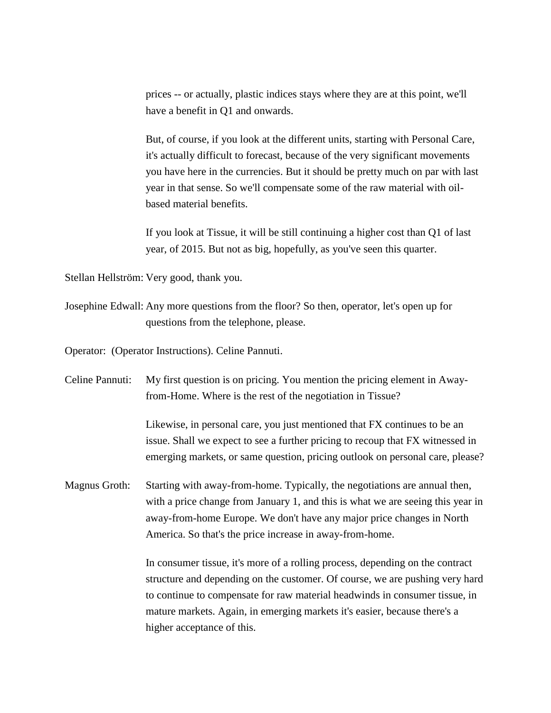prices -- or actually, plastic indices stays where they are at this point, we'll have a benefit in Q1 and onwards.

But, of course, if you look at the different units, starting with Personal Care, it's actually difficult to forecast, because of the very significant movements you have here in the currencies. But it should be pretty much on par with last year in that sense. So we'll compensate some of the raw material with oilbased material benefits.

If you look at Tissue, it will be still continuing a higher cost than Q1 of last year, of 2015. But not as big, hopefully, as you've seen this quarter.

Stellan Hellström: Very good, thank you.

Josephine Edwall: Any more questions from the floor? So then, operator, let's open up for questions from the telephone, please.

Operator: (Operator Instructions). Celine Pannuti.

| Celine Pannuti:      | My first question is on pricing. You mention the pricing element in Away-<br>from-Home. Where is the rest of the negotiation in Tissue?                                                                                                                                                                                                                 |
|----------------------|---------------------------------------------------------------------------------------------------------------------------------------------------------------------------------------------------------------------------------------------------------------------------------------------------------------------------------------------------------|
|                      | Likewise, in personal care, you just mentioned that FX continues to be an<br>issue. Shall we expect to see a further pricing to recoup that FX witnessed in<br>emerging markets, or same question, pricing outlook on personal care, please?                                                                                                            |
| <b>Magnus Groth:</b> | Starting with away-from-home. Typically, the negotiations are annual then,<br>with a price change from January 1, and this is what we are seeing this year in<br>away-from-home Europe. We don't have any major price changes in North<br>America. So that's the price increase in away-from-home.                                                      |
|                      | In consumer tissue, it's more of a rolling process, depending on the contract<br>structure and depending on the customer. Of course, we are pushing very hard<br>to continue to compensate for raw material headwinds in consumer tissue, in<br>mature markets. Again, in emerging markets it's easier, because there's a<br>higher acceptance of this. |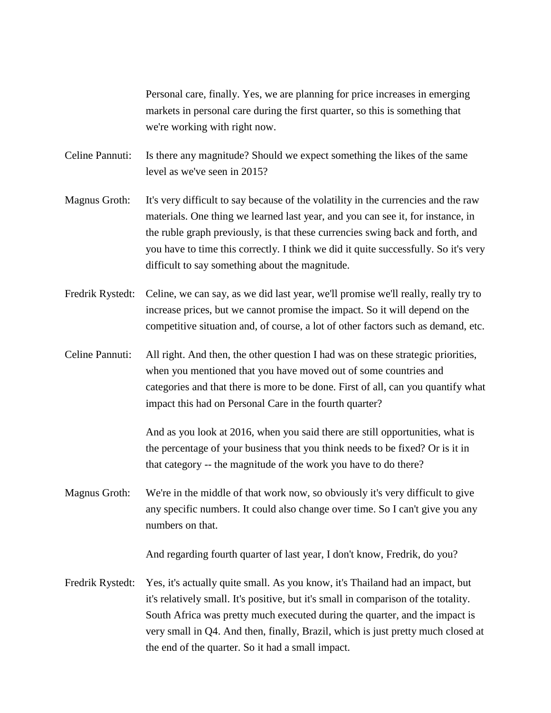Personal care, finally. Yes, we are planning for price increases in emerging markets in personal care during the first quarter, so this is something that we're working with right now.

- Celine Pannuti: Is there any magnitude? Should we expect something the likes of the same level as we've seen in 2015?
- Magnus Groth: It's very difficult to say because of the volatility in the currencies and the raw materials. One thing we learned last year, and you can see it, for instance, in the ruble graph previously, is that these currencies swing back and forth, and you have to time this correctly. I think we did it quite successfully. So it's very difficult to say something about the magnitude.
- Fredrik Rystedt: Celine, we can say, as we did last year, we'll promise we'll really, really try to increase prices, but we cannot promise the impact. So it will depend on the competitive situation and, of course, a lot of other factors such as demand, etc.
- Celine Pannuti: All right. And then, the other question I had was on these strategic priorities, when you mentioned that you have moved out of some countries and categories and that there is more to be done. First of all, can you quantify what impact this had on Personal Care in the fourth quarter?

And as you look at 2016, when you said there are still opportunities, what is the percentage of your business that you think needs to be fixed? Or is it in that category -- the magnitude of the work you have to do there?

Magnus Groth: We're in the middle of that work now, so obviously it's very difficult to give any specific numbers. It could also change over time. So I can't give you any numbers on that.

And regarding fourth quarter of last year, I don't know, Fredrik, do you?

Fredrik Rystedt: Yes, it's actually quite small. As you know, it's Thailand had an impact, but it's relatively small. It's positive, but it's small in comparison of the totality. South Africa was pretty much executed during the quarter, and the impact is very small in Q4. And then, finally, Brazil, which is just pretty much closed at the end of the quarter. So it had a small impact.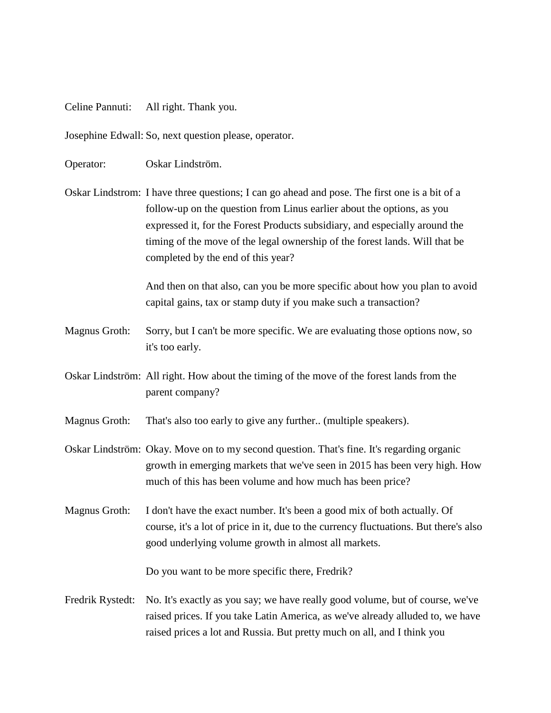Celine Pannuti: All right. Thank you.

Josephine Edwall: So, next question please, operator.

Operator: Oskar Lindström.

Oskar Lindstrom: I have three questions; I can go ahead and pose. The first one is a bit of a follow-up on the question from Linus earlier about the options, as you expressed it, for the Forest Products subsidiary, and especially around the timing of the move of the legal ownership of the forest lands. Will that be completed by the end of this year?

> And then on that also, can you be more specific about how you plan to avoid capital gains, tax or stamp duty if you make such a transaction?

- Magnus Groth: Sorry, but I can't be more specific. We are evaluating those options now, so it's too early.
- Oskar Lindström: All right. How about the timing of the move of the forest lands from the parent company?

Magnus Groth: That's also too early to give any further.. (multiple speakers).

Oskar Lindström: Okay. Move on to my second question. That's fine. It's regarding organic growth in emerging markets that we've seen in 2015 has been very high. How much of this has been volume and how much has been price?

Magnus Groth: I don't have the exact number. It's been a good mix of both actually. Of course, it's a lot of price in it, due to the currency fluctuations. But there's also good underlying volume growth in almost all markets.

Do you want to be more specific there, Fredrik?

Fredrik Rystedt: No. It's exactly as you say; we have really good volume, but of course, we've raised prices. If you take Latin America, as we've already alluded to, we have raised prices a lot and Russia. But pretty much on all, and I think you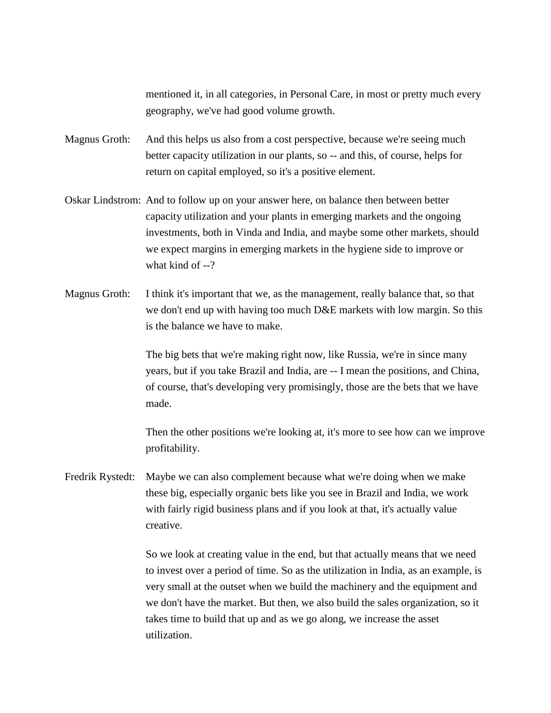mentioned it, in all categories, in Personal Care, in most or pretty much every geography, we've had good volume growth.

Magnus Groth: And this helps us also from a cost perspective, because we're seeing much better capacity utilization in our plants, so -- and this, of course, helps for return on capital employed, so it's a positive element.

- Oskar Lindstrom: And to follow up on your answer here, on balance then between better capacity utilization and your plants in emerging markets and the ongoing investments, both in Vinda and India, and maybe some other markets, should we expect margins in emerging markets in the hygiene side to improve or what kind of --?
- Magnus Groth: I think it's important that we, as the management, really balance that, so that we don't end up with having too much D&E markets with low margin. So this is the balance we have to make.

The big bets that we're making right now, like Russia, we're in since many years, but if you take Brazil and India, are -- I mean the positions, and China, of course, that's developing very promisingly, those are the bets that we have made.

Then the other positions we're looking at, it's more to see how can we improve profitability.

Fredrik Rystedt: Maybe we can also complement because what we're doing when we make these big, especially organic bets like you see in Brazil and India, we work with fairly rigid business plans and if you look at that, it's actually value creative.

> So we look at creating value in the end, but that actually means that we need to invest over a period of time. So as the utilization in India, as an example, is very small at the outset when we build the machinery and the equipment and we don't have the market. But then, we also build the sales organization, so it takes time to build that up and as we go along, we increase the asset utilization.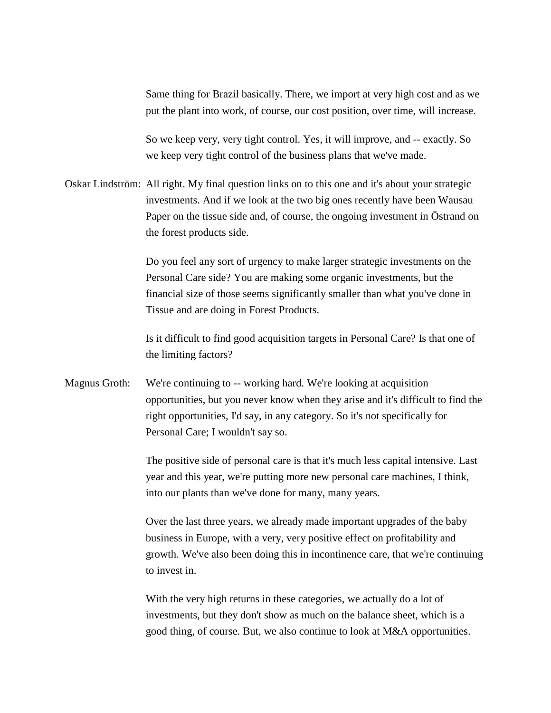Same thing for Brazil basically. There, we import at very high cost and as we put the plant into work, of course, our cost position, over time, will increase.

So we keep very, very tight control. Yes, it will improve, and -- exactly. So we keep very tight control of the business plans that we've made.

Oskar Lindström: All right. My final question links on to this one and it's about your strategic investments. And if we look at the two big ones recently have been Wausau Paper on the tissue side and, of course, the ongoing investment in Östrand on the forest products side.

> Do you feel any sort of urgency to make larger strategic investments on the Personal Care side? You are making some organic investments, but the financial size of those seems significantly smaller than what you've done in Tissue and are doing in Forest Products.

Is it difficult to find good acquisition targets in Personal Care? Is that one of the limiting factors?

Magnus Groth: We're continuing to -- working hard. We're looking at acquisition opportunities, but you never know when they arise and it's difficult to find the right opportunities, I'd say, in any category. So it's not specifically for Personal Care; I wouldn't say so.

> The positive side of personal care is that it's much less capital intensive. Last year and this year, we're putting more new personal care machines, I think, into our plants than we've done for many, many years.

Over the last three years, we already made important upgrades of the baby business in Europe, with a very, very positive effect on profitability and growth. We've also been doing this in incontinence care, that we're continuing to invest in.

With the very high returns in these categories, we actually do a lot of investments, but they don't show as much on the balance sheet, which is a good thing, of course. But, we also continue to look at M&A opportunities.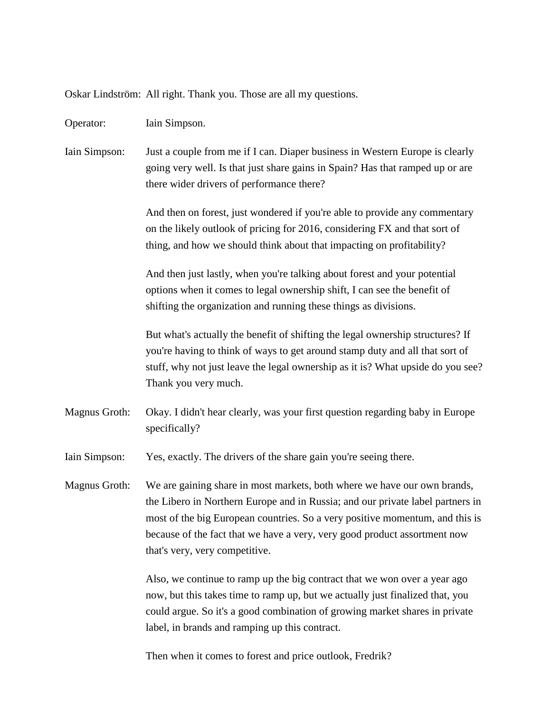Oskar Lindström: All right. Thank you. Those are all my questions.

Operator: Iain Simpson.

Iain Simpson: Just a couple from me if I can. Diaper business in Western Europe is clearly going very well. Is that just share gains in Spain? Has that ramped up or are there wider drivers of performance there?

> And then on forest, just wondered if you're able to provide any commentary on the likely outlook of pricing for 2016, considering FX and that sort of thing, and how we should think about that impacting on profitability?

And then just lastly, when you're talking about forest and your potential options when it comes to legal ownership shift, I can see the benefit of shifting the organization and running these things as divisions.

But what's actually the benefit of shifting the legal ownership structures? If you're having to think of ways to get around stamp duty and all that sort of stuff, why not just leave the legal ownership as it is? What upside do you see? Thank you very much.

Magnus Groth: Okay. I didn't hear clearly, was your first question regarding baby in Europe specifically?

Iain Simpson: Yes, exactly. The drivers of the share gain you're seeing there.

Magnus Groth: We are gaining share in most markets, both where we have our own brands, the Libero in Northern Europe and in Russia; and our private label partners in most of the big European countries. So a very positive momentum, and this is because of the fact that we have a very, very good product assortment now that's very, very competitive.

> Also, we continue to ramp up the big contract that we won over a year ago now, but this takes time to ramp up, but we actually just finalized that, you could argue. So it's a good combination of growing market shares in private label, in brands and ramping up this contract.

Then when it comes to forest and price outlook, Fredrik?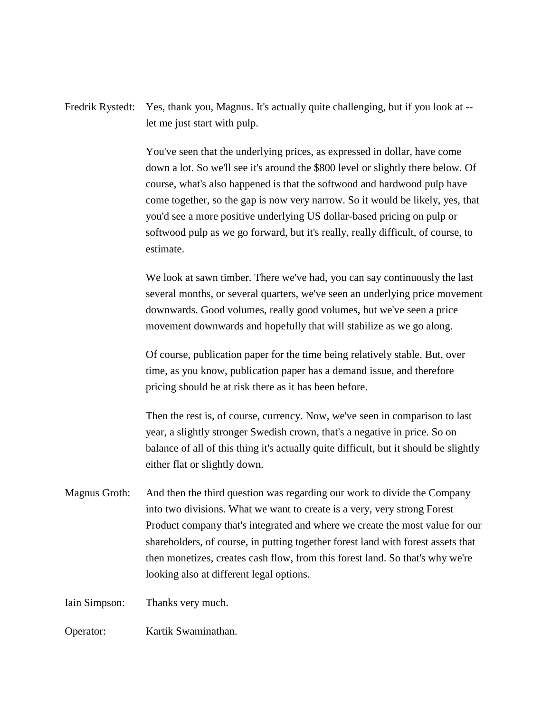Fredrik Rystedt: Yes, thank you, Magnus. It's actually quite challenging, but if you look at - let me just start with pulp.

> You've seen that the underlying prices, as expressed in dollar, have come down a lot. So we'll see it's around the \$800 level or slightly there below. Of course, what's also happened is that the softwood and hardwood pulp have come together, so the gap is now very narrow. So it would be likely, yes, that you'd see a more positive underlying US dollar-based pricing on pulp or softwood pulp as we go forward, but it's really, really difficult, of course, to estimate.

> We look at sawn timber. There we've had, you can say continuously the last several months, or several quarters, we've seen an underlying price movement downwards. Good volumes, really good volumes, but we've seen a price movement downwards and hopefully that will stabilize as we go along.

Of course, publication paper for the time being relatively stable. But, over time, as you know, publication paper has a demand issue, and therefore pricing should be at risk there as it has been before.

Then the rest is, of course, currency. Now, we've seen in comparison to last year, a slightly stronger Swedish crown, that's a negative in price. So on balance of all of this thing it's actually quite difficult, but it should be slightly either flat or slightly down.

Magnus Groth: And then the third question was regarding our work to divide the Company into two divisions. What we want to create is a very, very strong Forest Product company that's integrated and where we create the most value for our shareholders, of course, in putting together forest land with forest assets that then monetizes, creates cash flow, from this forest land. So that's why we're looking also at different legal options.

Iain Simpson: Thanks very much.

Operator: Kartik Swaminathan.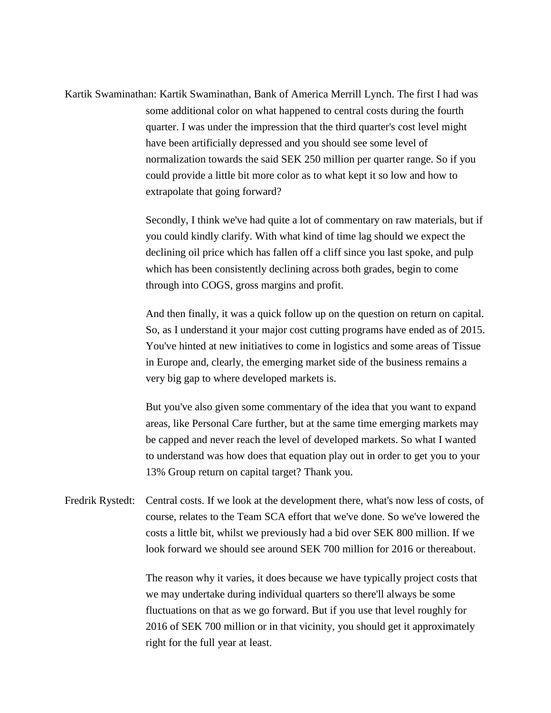Kartik Swaminathan: Kartik Swaminathan, Bank of America Merrill Lynch. The first I had was some additional color on what happened to central costs during the fourth quarter. I was under the impression that the third quarter's cost level might have been artificially depressed and you should see some level of normalization towards the said SEK 250 million per quarter range. So if you could provide a little bit more color as to what kept it so low and how to extrapolate that going forward?

> Secondly, I think we've had quite a lot of commentary on raw materials, but if you could kindly clarify. With what kind of time lag should we expect the declining oil price which has fallen off a cliff since you last spoke, and pulp which has been consistently declining across both grades, begin to come through into COGS, gross margins and profit.

> And then finally, it was a quick follow up on the question on return on capital. So, as I understand it your major cost cutting programs have ended as of 2015. You've hinted at new initiatives to come in logistics and some areas of Tissue in Europe and, clearly, the emerging market side of the business remains a very big gap to where developed markets is.

But you've also given some commentary of the idea that you want to expand areas, like Personal Care further, but at the same time emerging markets may be capped and never reach the level of developed markets. So what I wanted to understand was how does that equation play out in order to get you to your 13% Group return on capital target? Thank you.

Fredrik Rystedt: Central costs. If we look at the development there, what's now less of costs, of course, relates to the Team SCA effort that we've done. So we've lowered the costs a little bit, whilst we previously had a bid over SEK 800 million. If we look forward we should see around SEK 700 million for 2016 or thereabout.

> The reason why it varies, it does because we have typically project costs that we may undertake during individual quarters so there'll always be some fluctuations on that as we go forward. But if you use that level roughly for 2016 of SEK 700 million or in that vicinity, you should get it approximately right for the full year at least.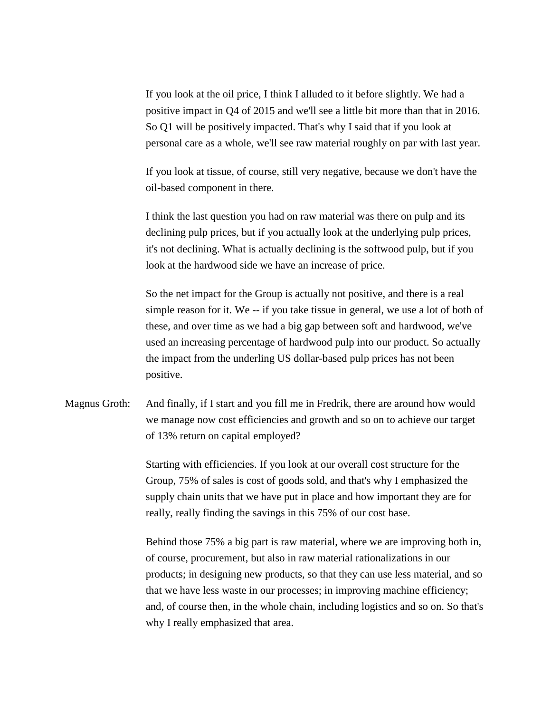If you look at the oil price, I think I alluded to it before slightly. We had a positive impact in Q4 of 2015 and we'll see a little bit more than that in 2016. So Q1 will be positively impacted. That's why I said that if you look at personal care as a whole, we'll see raw material roughly on par with last year.

If you look at tissue, of course, still very negative, because we don't have the oil-based component in there.

I think the last question you had on raw material was there on pulp and its declining pulp prices, but if you actually look at the underlying pulp prices, it's not declining. What is actually declining is the softwood pulp, but if you look at the hardwood side we have an increase of price.

So the net impact for the Group is actually not positive, and there is a real simple reason for it. We -- if you take tissue in general, we use a lot of both of these, and over time as we had a big gap between soft and hardwood, we've used an increasing percentage of hardwood pulp into our product. So actually the impact from the underling US dollar-based pulp prices has not been positive.

Magnus Groth: And finally, if I start and you fill me in Fredrik, there are around how would we manage now cost efficiencies and growth and so on to achieve our target of 13% return on capital employed?

> Starting with efficiencies. If you look at our overall cost structure for the Group, 75% of sales is cost of goods sold, and that's why I emphasized the supply chain units that we have put in place and how important they are for really, really finding the savings in this 75% of our cost base.

Behind those 75% a big part is raw material, where we are improving both in, of course, procurement, but also in raw material rationalizations in our products; in designing new products, so that they can use less material, and so that we have less waste in our processes; in improving machine efficiency; and, of course then, in the whole chain, including logistics and so on. So that's why I really emphasized that area.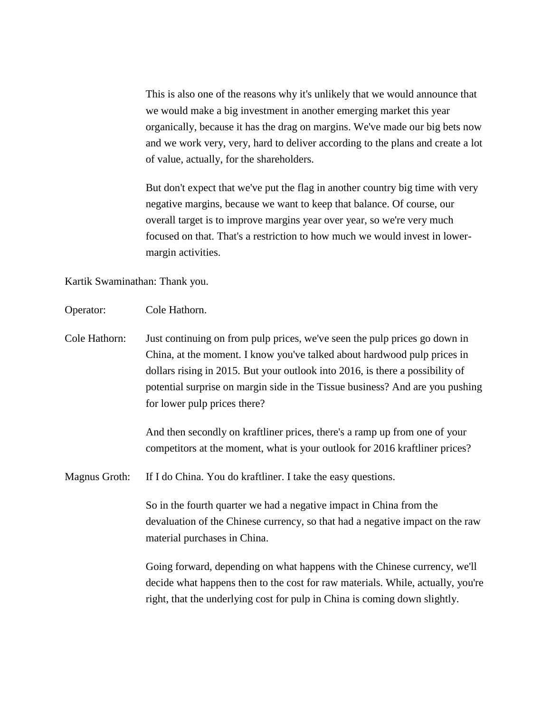This is also one of the reasons why it's unlikely that we would announce that we would make a big investment in another emerging market this year organically, because it has the drag on margins. We've made our big bets now and we work very, very, hard to deliver according to the plans and create a lot of value, actually, for the shareholders.

But don't expect that we've put the flag in another country big time with very negative margins, because we want to keep that balance. Of course, our overall target is to improve margins year over year, so we're very much focused on that. That's a restriction to how much we would invest in lowermargin activities.

Kartik Swaminathan: Thank you.

- Operator: Cole Hathorn.
- Cole Hathorn: Just continuing on from pulp prices, we've seen the pulp prices go down in China, at the moment. I know you've talked about hardwood pulp prices in dollars rising in 2015. But your outlook into 2016, is there a possibility of potential surprise on margin side in the Tissue business? And are you pushing for lower pulp prices there?

And then secondly on kraftliner prices, there's a ramp up from one of your competitors at the moment, what is your outlook for 2016 kraftliner prices?

Magnus Groth: If I do China. You do kraftliner. I take the easy questions.

So in the fourth quarter we had a negative impact in China from the devaluation of the Chinese currency, so that had a negative impact on the raw material purchases in China.

Going forward, depending on what happens with the Chinese currency, we'll decide what happens then to the cost for raw materials. While, actually, you're right, that the underlying cost for pulp in China is coming down slightly.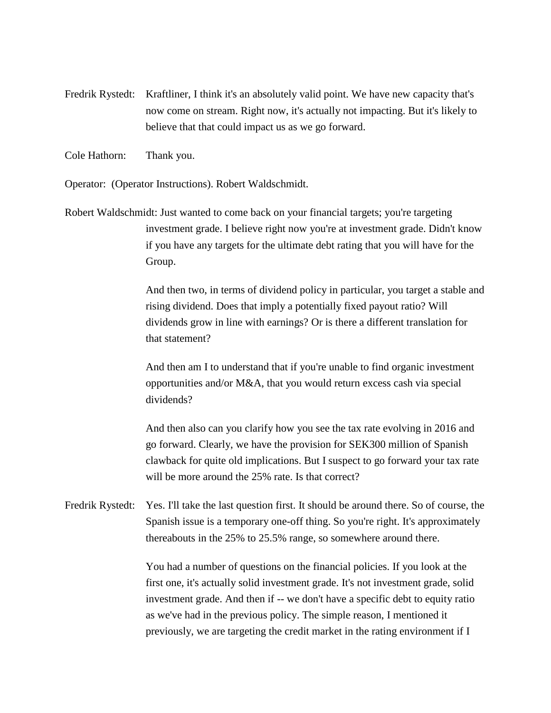- Fredrik Rystedt: Kraftliner, I think it's an absolutely valid point. We have new capacity that's now come on stream. Right now, it's actually not impacting. But it's likely to believe that that could impact us as we go forward.
- Cole Hathorn: Thank you.

Operator: (Operator Instructions). Robert Waldschmidt.

Robert Waldschmidt: Just wanted to come back on your financial targets; you're targeting investment grade. I believe right now you're at investment grade. Didn't know if you have any targets for the ultimate debt rating that you will have for the Group.

> And then two, in terms of dividend policy in particular, you target a stable and rising dividend. Does that imply a potentially fixed payout ratio? Will dividends grow in line with earnings? Or is there a different translation for that statement?

And then am I to understand that if you're unable to find organic investment opportunities and/or M&A, that you would return excess cash via special dividends?

And then also can you clarify how you see the tax rate evolving in 2016 and go forward. Clearly, we have the provision for SEK300 million of Spanish clawback for quite old implications. But I suspect to go forward your tax rate will be more around the 25% rate. Is that correct?

Fredrik Rystedt: Yes. I'll take the last question first. It should be around there. So of course, the Spanish issue is a temporary one-off thing. So you're right. It's approximately thereabouts in the 25% to 25.5% range, so somewhere around there.

> You had a number of questions on the financial policies. If you look at the first one, it's actually solid investment grade. It's not investment grade, solid investment grade. And then if -- we don't have a specific debt to equity ratio as we've had in the previous policy. The simple reason, I mentioned it previously, we are targeting the credit market in the rating environment if I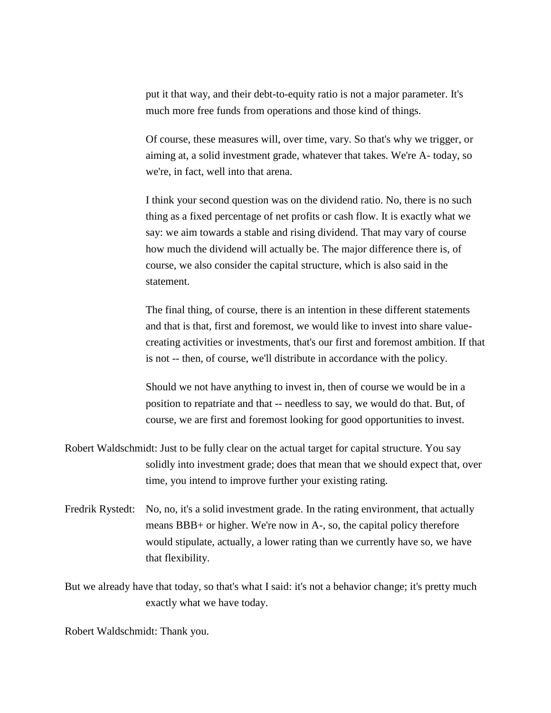put it that way, and their debt-to-equity ratio is not a major parameter. It's much more free funds from operations and those kind of things.

Of course, these measures will, over time, vary. So that's why we trigger, or aiming at, a solid investment grade, whatever that takes. We're A- today, so we're, in fact, well into that arena.

I think your second question was on the dividend ratio. No, there is no such thing as a fixed percentage of net profits or cash flow. It is exactly what we say: we aim towards a stable and rising dividend. That may vary of course how much the dividend will actually be. The major difference there is, of course, we also consider the capital structure, which is also said in the statement.

The final thing, of course, there is an intention in these different statements and that is that, first and foremost, we would like to invest into share valuecreating activities or investments, that's our first and foremost ambition. If that is not -- then, of course, we'll distribute in accordance with the policy.

Should we not have anything to invest in, then of course we would be in a position to repatriate and that -- needless to say, we would do that. But, of course, we are first and foremost looking for good opportunities to invest.

- Robert Waldschmidt: Just to be fully clear on the actual target for capital structure. You say solidly into investment grade; does that mean that we should expect that, over time, you intend to improve further your existing rating.
- Fredrik Rystedt: No, no, it's a solid investment grade. In the rating environment, that actually means BBB+ or higher. We're now in A-, so, the capital policy therefore would stipulate, actually, a lower rating than we currently have so, we have that flexibility.

But we already have that today, so that's what I said: it's not a behavior change; it's pretty much exactly what we have today.

Robert Waldschmidt: Thank you.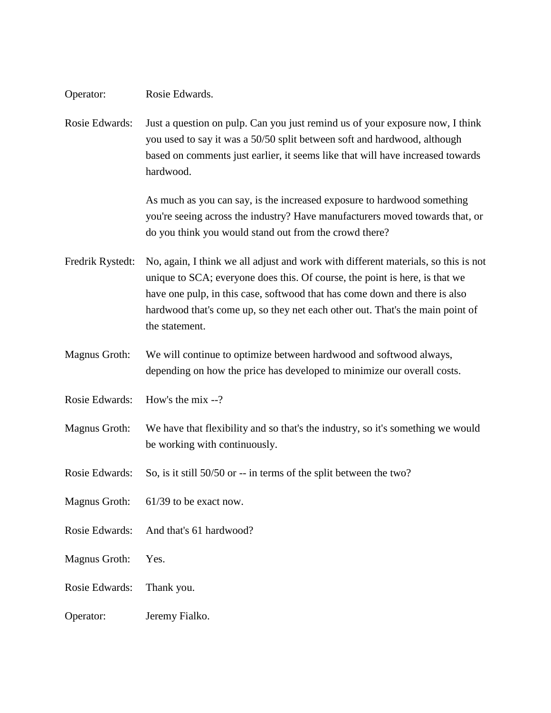Rosie Edwards: Just a question on pulp. Can you just remind us of your exposure now, I think you used to say it was a 50/50 split between soft and hardwood, although based on comments just earlier, it seems like that will have increased towards hardwood.

> As much as you can say, is the increased exposure to hardwood something you're seeing across the industry? Have manufacturers moved towards that, or do you think you would stand out from the crowd there?

Fredrik Rystedt: No, again, I think we all adjust and work with different materials, so this is not unique to SCA; everyone does this. Of course, the point is here, is that we have one pulp, in this case, softwood that has come down and there is also hardwood that's come up, so they net each other out. That's the main point of the statement.

- Magnus Groth: We will continue to optimize between hardwood and softwood always, depending on how the price has developed to minimize our overall costs.
- Rosie Edwards: How's the mix --?

Magnus Groth: We have that flexibility and so that's the industry, so it's something we would be working with continuously.

Rosie Edwards: So, is it still 50/50 or -- in terms of the split between the two?

Magnus Groth: 61/39 to be exact now.

Rosie Edwards: And that's 61 hardwood?

Magnus Groth: Yes.

Rosie Edwards: Thank you.

Operator: Jeremy Fialko.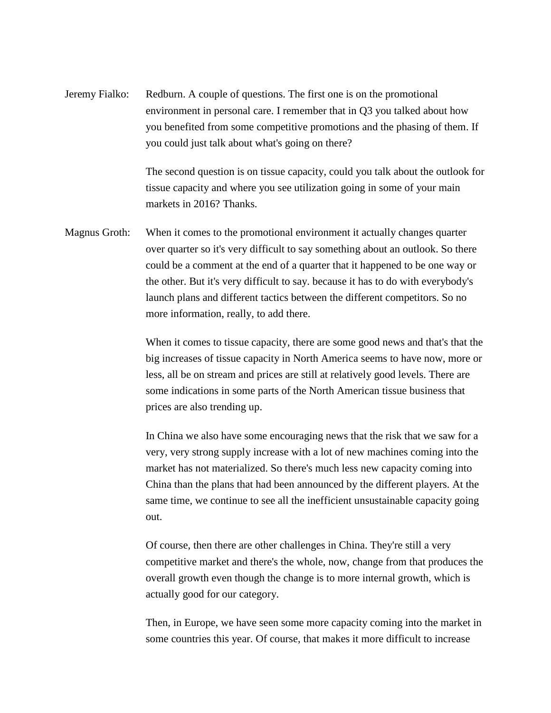Jeremy Fialko: Redburn. A couple of questions. The first one is on the promotional environment in personal care. I remember that in Q3 you talked about how you benefited from some competitive promotions and the phasing of them. If you could just talk about what's going on there?

> The second question is on tissue capacity, could you talk about the outlook for tissue capacity and where you see utilization going in some of your main markets in 2016? Thanks.

Magnus Groth: When it comes to the promotional environment it actually changes quarter over quarter so it's very difficult to say something about an outlook. So there could be a comment at the end of a quarter that it happened to be one way or the other. But it's very difficult to say. because it has to do with everybody's launch plans and different tactics between the different competitors. So no more information, really, to add there.

> When it comes to tissue capacity, there are some good news and that's that the big increases of tissue capacity in North America seems to have now, more or less, all be on stream and prices are still at relatively good levels. There are some indications in some parts of the North American tissue business that prices are also trending up.

In China we also have some encouraging news that the risk that we saw for a very, very strong supply increase with a lot of new machines coming into the market has not materialized. So there's much less new capacity coming into China than the plans that had been announced by the different players. At the same time, we continue to see all the inefficient unsustainable capacity going out.

Of course, then there are other challenges in China. They're still a very competitive market and there's the whole, now, change from that produces the overall growth even though the change is to more internal growth, which is actually good for our category.

Then, in Europe, we have seen some more capacity coming into the market in some countries this year. Of course, that makes it more difficult to increase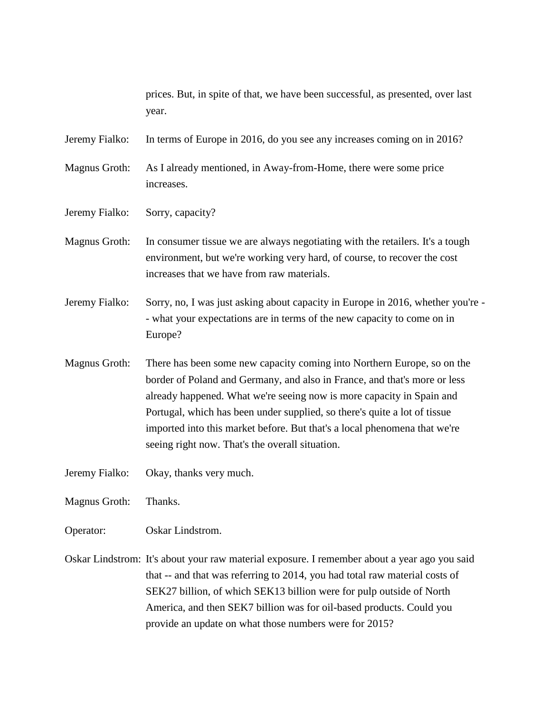|                | prices. But, in spite of that, we have been successful, as presented, over last<br>year.                                                                                                                                                                                                                                                                                                                                                   |
|----------------|--------------------------------------------------------------------------------------------------------------------------------------------------------------------------------------------------------------------------------------------------------------------------------------------------------------------------------------------------------------------------------------------------------------------------------------------|
| Jeremy Fialko: | In terms of Europe in 2016, do you see any increases coming on in 2016?                                                                                                                                                                                                                                                                                                                                                                    |
| Magnus Groth:  | As I already mentioned, in Away-from-Home, there were some price<br>increases.                                                                                                                                                                                                                                                                                                                                                             |
| Jeremy Fialko: | Sorry, capacity?                                                                                                                                                                                                                                                                                                                                                                                                                           |
| Magnus Groth:  | In consumer tissue we are always negotiating with the retailers. It's a tough<br>environment, but we're working very hard, of course, to recover the cost<br>increases that we have from raw materials.                                                                                                                                                                                                                                    |
| Jeremy Fialko: | Sorry, no, I was just asking about capacity in Europe in 2016, whether you're -<br>- what your expectations are in terms of the new capacity to come on in<br>Europe?                                                                                                                                                                                                                                                                      |
| Magnus Groth:  | There has been some new capacity coming into Northern Europe, so on the<br>border of Poland and Germany, and also in France, and that's more or less<br>already happened. What we're seeing now is more capacity in Spain and<br>Portugal, which has been under supplied, so there's quite a lot of tissue<br>imported into this market before. But that's a local phenomena that we're<br>seeing right now. That's the overall situation. |
| Jeremy Fialko: | Okay, thanks very much.                                                                                                                                                                                                                                                                                                                                                                                                                    |
| Magnus Groth:  | Thanks.                                                                                                                                                                                                                                                                                                                                                                                                                                    |
| Operator:      | Oskar Lindstrom.                                                                                                                                                                                                                                                                                                                                                                                                                           |
|                | Oskar Lindstrom: It's about your raw material exposure. I remember about a year ago you said<br>that -- and that was referring to 2014, you had total raw material costs of<br>SEK27 billion, of which SEK13 billion were for pulp outside of North<br>America, and then SEK7 billion was for oil-based products. Could you<br>provide an update on what those numbers were for 2015?                                                      |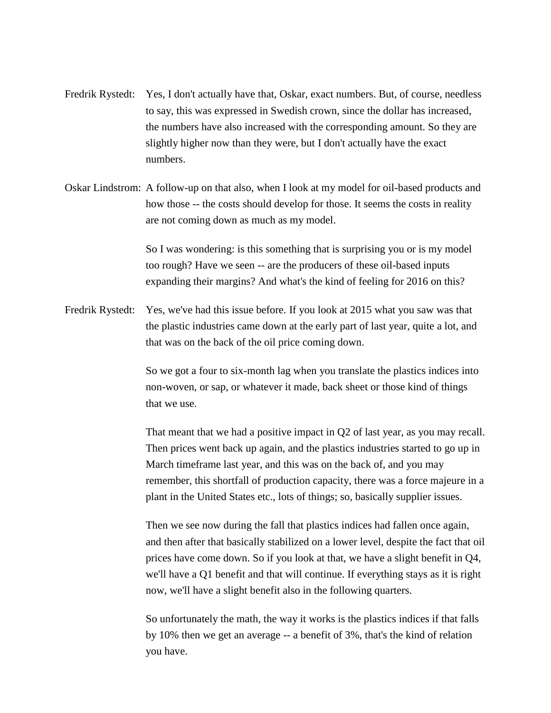- Fredrik Rystedt: Yes, I don't actually have that, Oskar, exact numbers. But, of course, needless to say, this was expressed in Swedish crown, since the dollar has increased, the numbers have also increased with the corresponding amount. So they are slightly higher now than they were, but I don't actually have the exact numbers.
- Oskar Lindstrom: A follow-up on that also, when I look at my model for oil-based products and how those -- the costs should develop for those. It seems the costs in reality are not coming down as much as my model.

So I was wondering: is this something that is surprising you or is my model too rough? Have we seen -- are the producers of these oil-based inputs expanding their margins? And what's the kind of feeling for 2016 on this?

Fredrik Rystedt: Yes, we've had this issue before. If you look at 2015 what you saw was that the plastic industries came down at the early part of last year, quite a lot, and that was on the back of the oil price coming down.

> So we got a four to six-month lag when you translate the plastics indices into non-woven, or sap, or whatever it made, back sheet or those kind of things that we use.

That meant that we had a positive impact in Q2 of last year, as you may recall. Then prices went back up again, and the plastics industries started to go up in March timeframe last year, and this was on the back of, and you may remember, this shortfall of production capacity, there was a force majeure in a plant in the United States etc., lots of things; so, basically supplier issues.

Then we see now during the fall that plastics indices had fallen once again, and then after that basically stabilized on a lower level, despite the fact that oil prices have come down. So if you look at that, we have a slight benefit in Q4, we'll have a Q1 benefit and that will continue. If everything stays as it is right now, we'll have a slight benefit also in the following quarters.

So unfortunately the math, the way it works is the plastics indices if that falls by 10% then we get an average -- a benefit of 3%, that's the kind of relation you have.